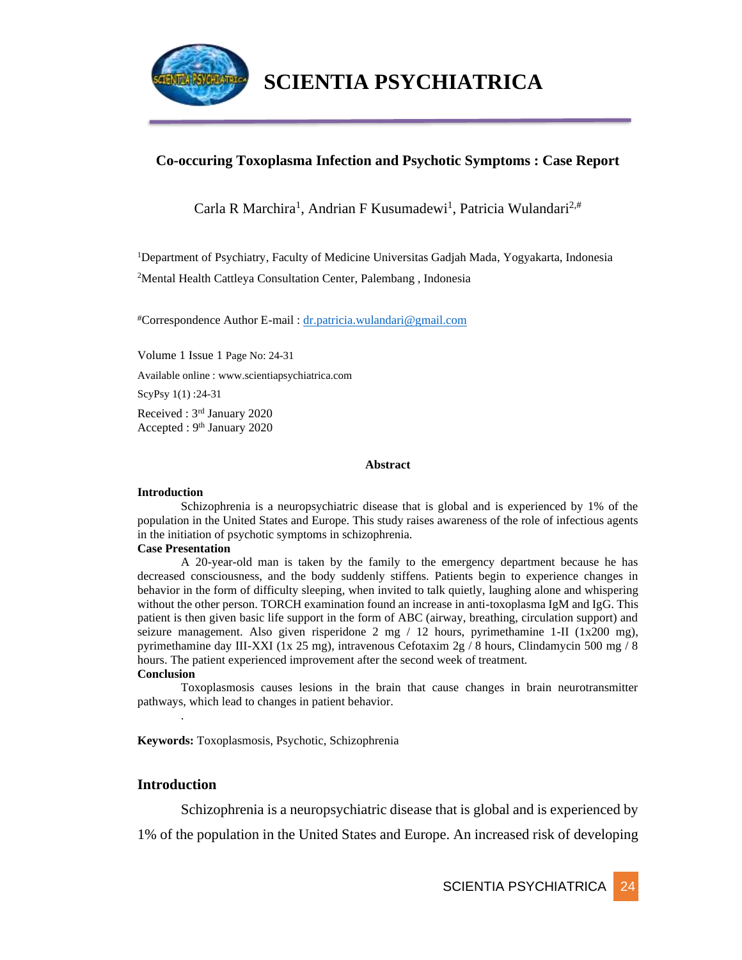

### **Co-occuring Toxoplasma Infection and Psychotic Symptoms : Case Report**

Carla R Marchira<sup>1</sup>, Andrian F Kusumadewi<sup>1</sup>, Patricia Wulandari<sup>2,#</sup>

<sup>1</sup>Department of Psychiatry, Faculty of Medicine Universitas Gadjah Mada, Yogyakarta, Indonesia <sup>2</sup>Mental Health Cattleya Consultation Center, Palembang , Indonesia

#Correspondence Author E-mail : [dr.patricia.wulandari@gmail.com](mailto:dr.patricia.wulandari@gmail.com)

Volume 1 Issue 1 Page No: 24-31

Available online : www.scientiapsychiatrica.com

ScyPsy 1(1) :24-31

Received : 3rd January 2020 Accepted : 9<sup>th</sup> January 2020

#### **Abstract**

#### **Introduction**

Schizophrenia is a neuropsychiatric disease that is global and is experienced by 1% of the population in the United States and Europe. This study raises awareness of the role of infectious agents in the initiation of psychotic symptoms in schizophrenia.

#### **Case Presentation**

A 20-year-old man is taken by the family to the emergency department because he has decreased consciousness, and the body suddenly stiffens. Patients begin to experience changes in behavior in the form of difficulty sleeping, when invited to talk quietly, laughing alone and whispering without the other person. TORCH examination found an increase in anti-toxoplasma IgM and IgG. This patient is then given basic life support in the form of ABC (airway, breathing, circulation support) and seizure management. Also given risperidone 2 mg / 12 hours, pyrimethamine 1-II (1x200 mg), pyrimethamine day III-XXI (1x 25 mg), intravenous Cefotaxim 2g / 8 hours, Clindamycin 500 mg / 8 hours. The patient experienced improvement after the second week of treatment.

#### **Conclusion**

Toxoplasmosis causes lesions in the brain that cause changes in brain neurotransmitter pathways, which lead to changes in patient behavior.

**Keywords:** Toxoplasmosis, Psychotic, Schizophrenia

#### **Introduction**

.

Schizophrenia is a neuropsychiatric disease that is global and is experienced by

1% of the population in the United States and Europe. An increased risk of developing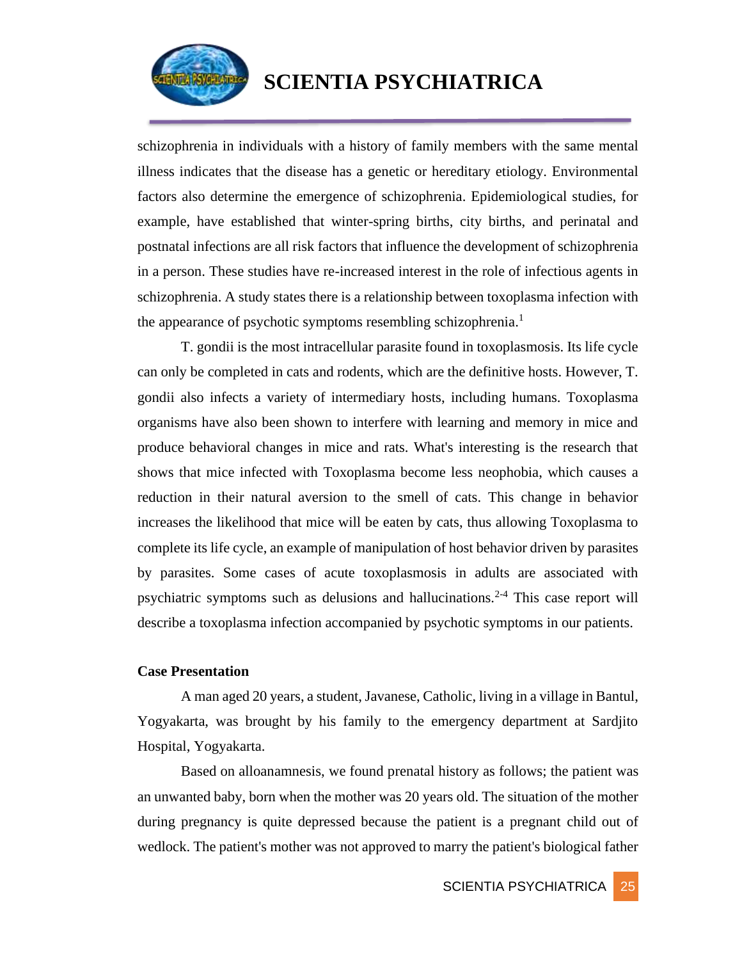

schizophrenia in individuals with a history of family members with the same mental illness indicates that the disease has a genetic or hereditary etiology. Environmental factors also determine the emergence of schizophrenia. Epidemiological studies, for example, have established that winter-spring births, city births, and perinatal and postnatal infections are all risk factors that influence the development of schizophrenia in a person. These studies have re-increased interest in the role of infectious agents in schizophrenia. A study states there is a relationship between toxoplasma infection with the appearance of psychotic symptoms resembling schizophrenia.<sup>1</sup>

T. gondii is the most intracellular parasite found in toxoplasmosis. Its life cycle can only be completed in cats and rodents, which are the definitive hosts. However, T. gondii also infects a variety of intermediary hosts, including humans. Toxoplasma organisms have also been shown to interfere with learning and memory in mice and produce behavioral changes in mice and rats. What's interesting is the research that shows that mice infected with Toxoplasma become less neophobia, which causes a reduction in their natural aversion to the smell of cats. This change in behavior increases the likelihood that mice will be eaten by cats, thus allowing Toxoplasma to complete its life cycle, an example of manipulation of host behavior driven by parasites by parasites. Some cases of acute toxoplasmosis in adults are associated with psychiatric symptoms such as delusions and hallucinations.<sup>2-4</sup> This case report will describe a toxoplasma infection accompanied by psychotic symptoms in our patients.

#### **Case Presentation**

A man aged 20 years, a student, Javanese, Catholic, living in a village in Bantul, Yogyakarta, was brought by his family to the emergency department at Sardjito Hospital, Yogyakarta.

Based on alloanamnesis, we found prenatal history as follows; the patient was an unwanted baby, born when the mother was 20 years old. The situation of the mother during pregnancy is quite depressed because the patient is a pregnant child out of wedlock. The patient's mother was not approved to marry the patient's biological father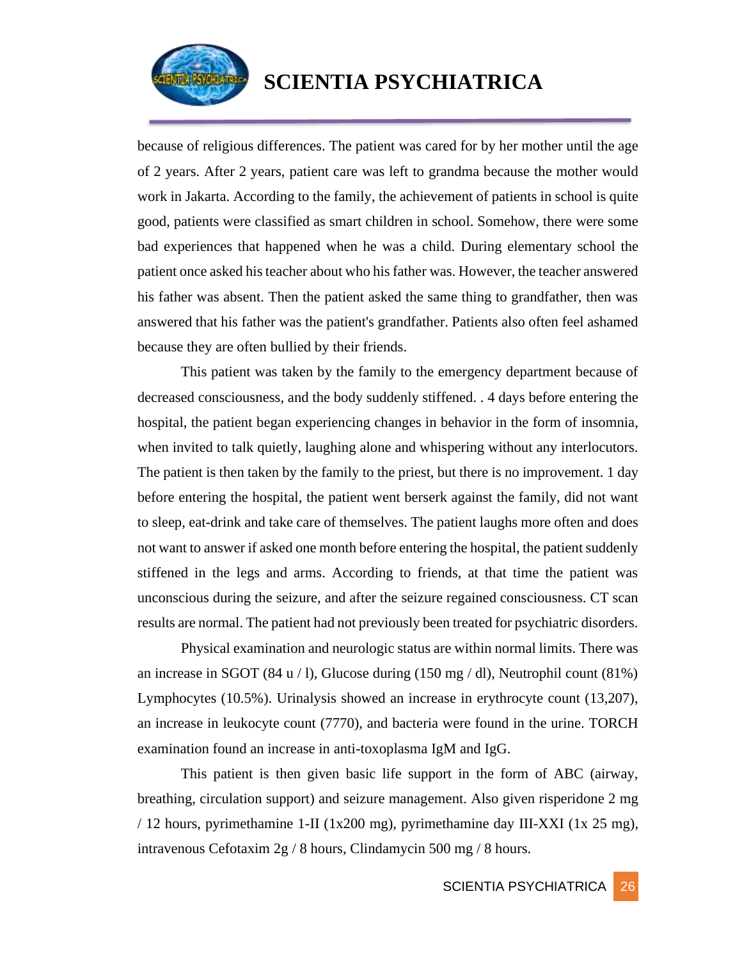

because of religious differences. The patient was cared for by her mother until the age of 2 years. After 2 years, patient care was left to grandma because the mother would work in Jakarta. According to the family, the achievement of patients in school is quite good, patients were classified as smart children in school. Somehow, there were some bad experiences that happened when he was a child. During elementary school the patient once asked his teacher about who his father was. However, the teacher answered his father was absent. Then the patient asked the same thing to grandfather, then was answered that his father was the patient's grandfather. Patients also often feel ashamed because they are often bullied by their friends.

This patient was taken by the family to the emergency department because of decreased consciousness, and the body suddenly stiffened. . 4 days before entering the hospital, the patient began experiencing changes in behavior in the form of insomnia, when invited to talk quietly, laughing alone and whispering without any interlocutors. The patient is then taken by the family to the priest, but there is no improvement. 1 day before entering the hospital, the patient went berserk against the family, did not want to sleep, eat-drink and take care of themselves. The patient laughs more often and does not want to answer if asked one month before entering the hospital, the patient suddenly stiffened in the legs and arms. According to friends, at that time the patient was unconscious during the seizure, and after the seizure regained consciousness. CT scan results are normal. The patient had not previously been treated for psychiatric disorders.

Physical examination and neurologic status are within normal limits. There was an increase in SGOT (84 u / l), Glucose during (150 mg / dl), Neutrophil count (81%) Lymphocytes (10.5%). Urinalysis showed an increase in erythrocyte count (13,207), an increase in leukocyte count (7770), and bacteria were found in the urine. TORCH examination found an increase in anti-toxoplasma IgM and IgG.

This patient is then given basic life support in the form of ABC (airway, breathing, circulation support) and seizure management. Also given risperidone 2 mg / 12 hours, pyrimethamine 1-II (1x200 mg), pyrimethamine day III-XXI (1x 25 mg), intravenous Cefotaxim 2g / 8 hours, Clindamycin 500 mg / 8 hours.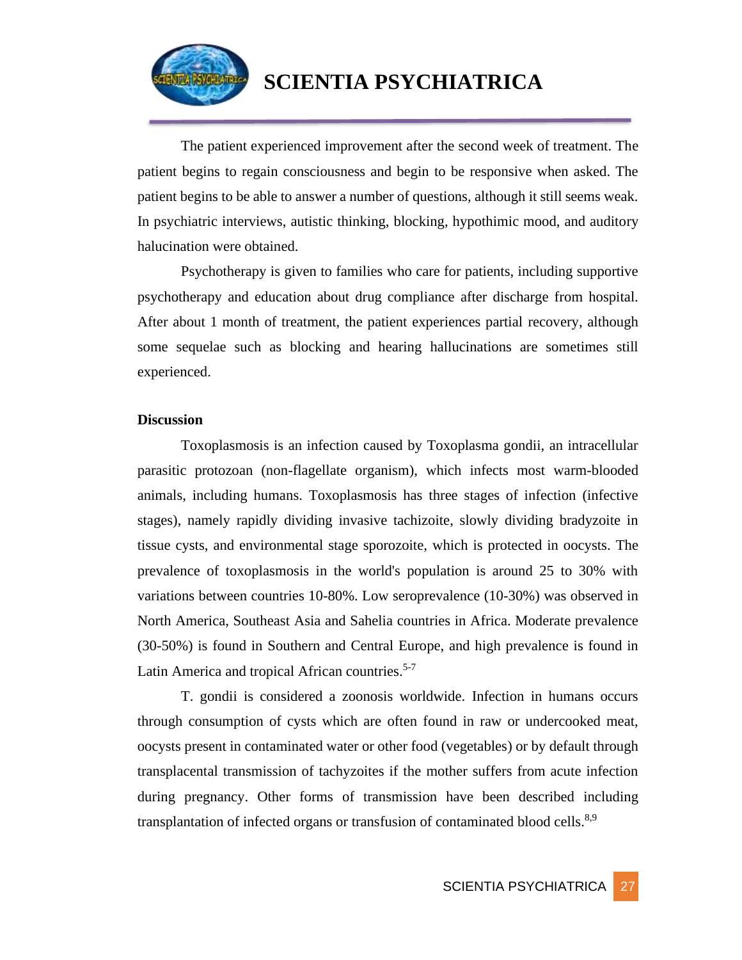

The patient experienced improvement after the second week of treatment. The patient begins to regain consciousness and begin to be responsive when asked. The patient begins to be able to answer a number of questions, although it still seems weak. In psychiatric interviews, autistic thinking, blocking, hypothimic mood, and auditory halucination were obtained.

Psychotherapy is given to families who care for patients, including supportive psychotherapy and education about drug compliance after discharge from hospital. After about 1 month of treatment, the patient experiences partial recovery, although some sequelae such as blocking and hearing hallucinations are sometimes still experienced.

#### **Discussion**

Toxoplasmosis is an infection caused by Toxoplasma gondii, an intracellular parasitic protozoan (non-flagellate organism), which infects most warm-blooded animals, including humans. Toxoplasmosis has three stages of infection (infective stages), namely rapidly dividing invasive tachizoite, slowly dividing bradyzoite in tissue cysts, and environmental stage sporozoite, which is protected in oocysts. The prevalence of toxoplasmosis in the world's population is around 25 to 30% with variations between countries 10-80%. Low seroprevalence (10-30%) was observed in North America, Southeast Asia and Sahelia countries in Africa. Moderate prevalence (30-50%) is found in Southern and Central Europe, and high prevalence is found in Latin America and tropical African countries.<sup>5-7</sup>

T. gondii is considered a zoonosis worldwide. Infection in humans occurs through consumption of cysts which are often found in raw or undercooked meat, oocysts present in contaminated water or other food (vegetables) or by default through transplacental transmission of tachyzoites if the mother suffers from acute infection during pregnancy. Other forms of transmission have been described including transplantation of infected organs or transfusion of contaminated blood cells.<sup>8,9</sup>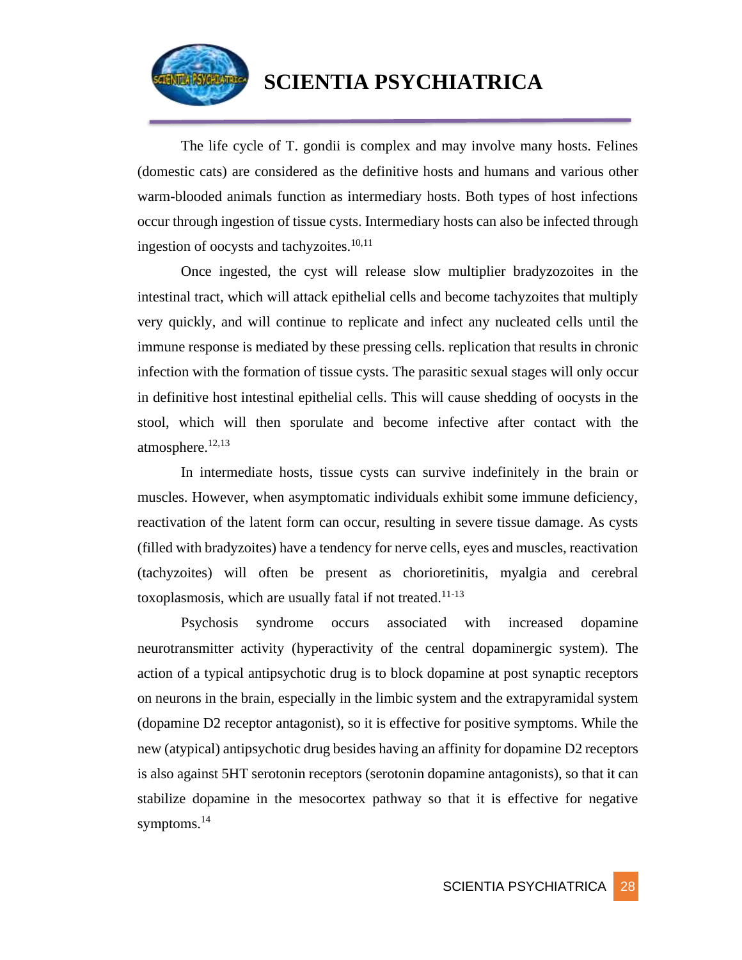

The life cycle of T. gondii is complex and may involve many hosts. Felines (domestic cats) are considered as the definitive hosts and humans and various other warm-blooded animals function as intermediary hosts. Both types of host infections occur through ingestion of tissue cysts. Intermediary hosts can also be infected through ingestion of oocysts and tachyzoites.<sup>10,11</sup>

Once ingested, the cyst will release slow multiplier bradyzozoites in the intestinal tract, which will attack epithelial cells and become tachyzoites that multiply very quickly, and will continue to replicate and infect any nucleated cells until the immune response is mediated by these pressing cells. replication that results in chronic infection with the formation of tissue cysts. The parasitic sexual stages will only occur in definitive host intestinal epithelial cells. This will cause shedding of oocysts in the stool, which will then sporulate and become infective after contact with the atmosphere. $12,13$ 

In intermediate hosts, tissue cysts can survive indefinitely in the brain or muscles. However, when asymptomatic individuals exhibit some immune deficiency, reactivation of the latent form can occur, resulting in severe tissue damage. As cysts (filled with bradyzoites) have a tendency for nerve cells, eyes and muscles, reactivation (tachyzoites) will often be present as chorioretinitis, myalgia and cerebral toxoplasmosis, which are usually fatal if not treated.<sup>11-13</sup>

Psychosis syndrome occurs associated with increased dopamine neurotransmitter activity (hyperactivity of the central dopaminergic system). The action of a typical antipsychotic drug is to block dopamine at post synaptic receptors on neurons in the brain, especially in the limbic system and the extrapyramidal system (dopamine D2 receptor antagonist), so it is effective for positive symptoms. While the new (atypical) antipsychotic drug besides having an affinity for dopamine D2 receptors is also against 5HT serotonin receptors (serotonin dopamine antagonists), so that it can stabilize dopamine in the mesocortex pathway so that it is effective for negative symptoms.<sup>14</sup>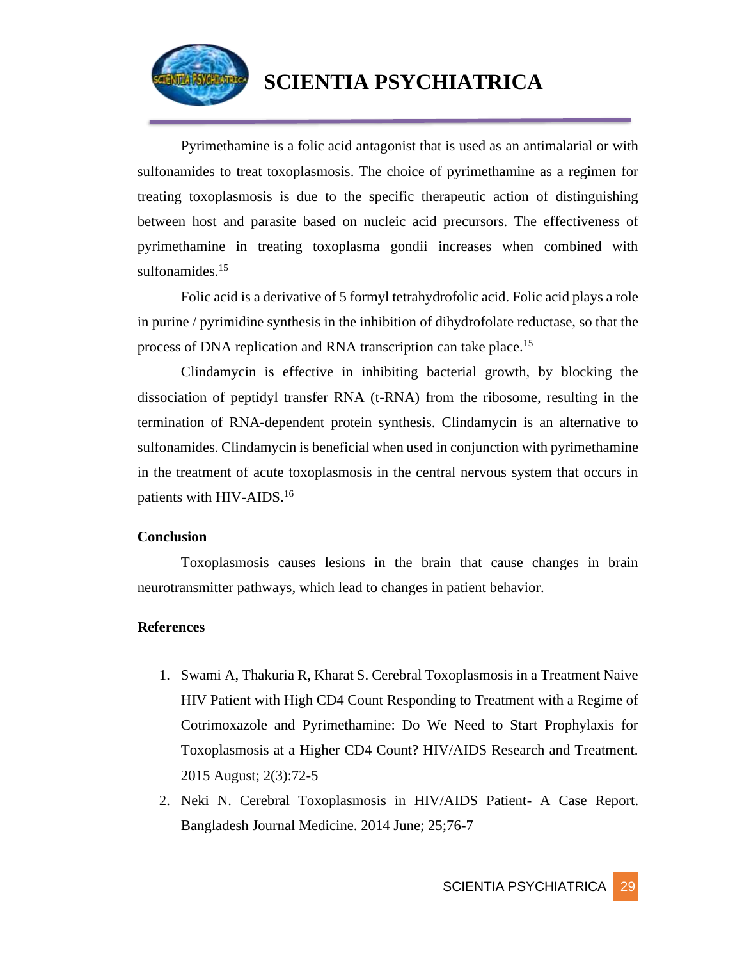

Pyrimethamine is a folic acid antagonist that is used as an antimalarial or with sulfonamides to treat toxoplasmosis. The choice of pyrimethamine as a regimen for treating toxoplasmosis is due to the specific therapeutic action of distinguishing between host and parasite based on nucleic acid precursors. The effectiveness of pyrimethamine in treating toxoplasma gondii increases when combined with sulfonamides.<sup>15</sup>

Folic acid is a derivative of 5 formyl tetrahydrofolic acid. Folic acid plays a role in purine / pyrimidine synthesis in the inhibition of dihydrofolate reductase, so that the process of DNA replication and RNA transcription can take place.<sup>15</sup>

Clindamycin is effective in inhibiting bacterial growth, by blocking the dissociation of peptidyl transfer RNA (t-RNA) from the ribosome, resulting in the termination of RNA-dependent protein synthesis. Clindamycin is an alternative to sulfonamides. Clindamycin is beneficial when used in conjunction with pyrimethamine in the treatment of acute toxoplasmosis in the central nervous system that occurs in patients with HIV-AIDS.<sup>16</sup>

### **Conclusion**

Toxoplasmosis causes lesions in the brain that cause changes in brain neurotransmitter pathways, which lead to changes in patient behavior.

### **References**

- 1. Swami A, Thakuria R, Kharat S. Cerebral Toxoplasmosis in a Treatment Naive HIV Patient with High CD4 Count Responding to Treatment with a Regime of Cotrimoxazole and Pyrimethamine: Do We Need to Start Prophylaxis for Toxoplasmosis at a Higher CD4 Count? HIV/AIDS Research and Treatment. 2015 August; 2(3):72-5
- 2. Neki N. Cerebral Toxoplasmosis in HIV/AIDS Patient- A Case Report. Bangladesh Journal Medicine. 2014 June; 25;76-7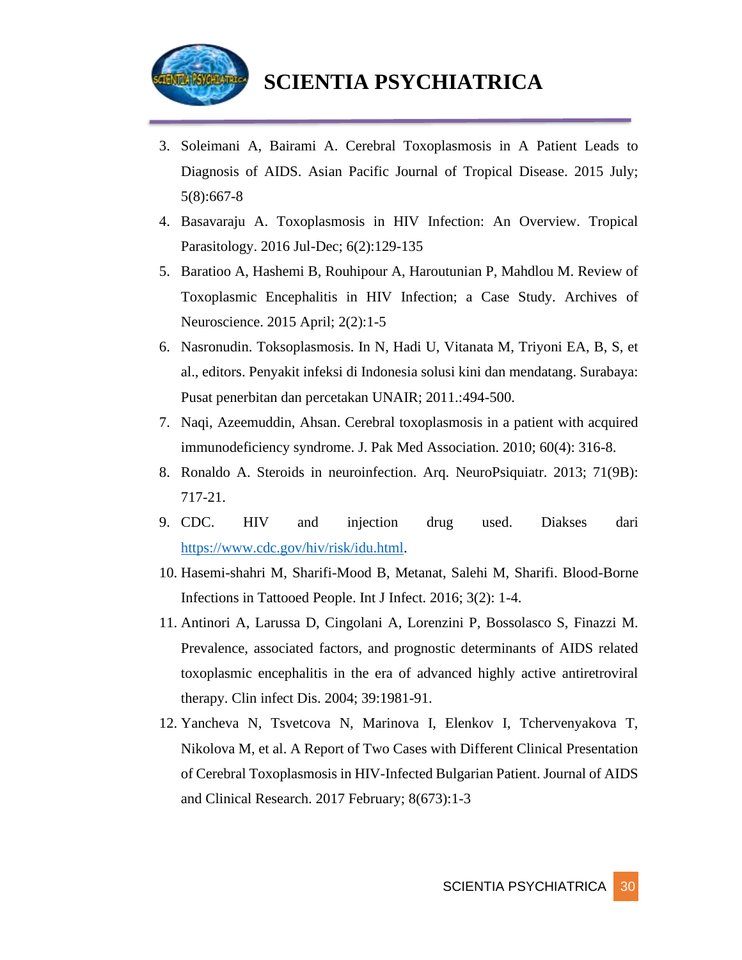

- 3. Soleimani A, Bairami A. Cerebral Toxoplasmosis in A Patient Leads to Diagnosis of AIDS. Asian Pacific Journal of Tropical Disease. 2015 July; 5(8):667-8
- 4. Basavaraju A. Toxoplasmosis in HIV Infection: An Overview. Tropical Parasitology. 2016 Jul-Dec; 6(2):129-135
- 5. Baratioo A, Hashemi B, Rouhipour A, Haroutunian P, Mahdlou M. Review of Toxoplasmic Encephalitis in HIV Infection; a Case Study. Archives of Neuroscience. 2015 April; 2(2):1-5
- 6. Nasronudin. Toksoplasmosis. In N, Hadi U, Vitanata M, Triyoni EA, B, S, et al., editors. Penyakit infeksi di Indonesia solusi kini dan mendatang. Surabaya: Pusat penerbitan dan percetakan UNAIR; 2011.:494-500.
- 7. Naqi, Azeemuddin, Ahsan. Cerebral toxoplasmosis in a patient with acquired immunodeficiency syndrome. J. Pak Med Association. 2010; 60(4): 316-8.
- 8. Ronaldo A. Steroids in neuroinfection. Arq. NeuroPsiquiatr. 2013; 71(9B): 717-21.
- 9. CDC. HIV and injection drug used. Diakses dari [https://www.cdc.gov/hiv/risk/idu.html.](https://www.cdc.gov/hiv/risk/idu.html)
- 10. Hasemi-shahri M, Sharifi-Mood B, Metanat, Salehi M, Sharifi. Blood-Borne Infections in Tattooed People. Int J Infect. 2016; 3(2): 1-4.
- 11. Antinori A, Larussa D, Cingolani A, Lorenzini P, Bossolasco S, Finazzi M. Prevalence, associated factors, and prognostic determinants of AIDS related toxoplasmic encephalitis in the era of advanced highly active antiretroviral therapy. Clin infect Dis. 2004; 39:1981-91.
- 12. Yancheva N, Tsvetcova N, Marinova I, Elenkov I, Tchervenyakova T, Nikolova M, et al. A Report of Two Cases with Different Clinical Presentation of Cerebral Toxoplasmosis in HIV-Infected Bulgarian Patient. Journal of AIDS and Clinical Research. 2017 February; 8(673):1-3